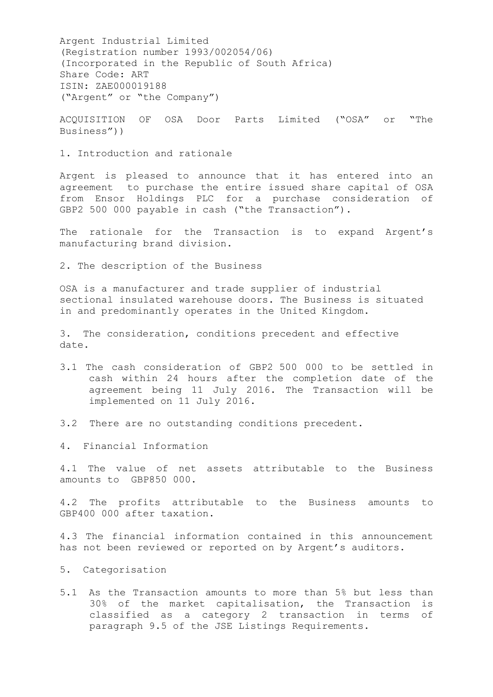Argent Industrial Limited (Registration number 1993/002054/06) (Incorporated in the Republic of South Africa) Share Code: ART ISIN: ZAE000019188 ("Argent" or "the Company")

ACQUISITION OF OSA Door Parts Limited ("OSA" or "The Business"))

1. Introduction and rationale

Argent is pleased to announce that it has entered into an agreement to purchase the entire issued share capital of OSA from Ensor Holdings PLC for a purchase consideration of GBP2 500 000 payable in cash ("the Transaction").

The rationale for the Transaction is to expand Argent's manufacturing brand division.

2. The description of the Business

OSA is a manufacturer and trade supplier of industrial sectional insulated warehouse doors. The Business is situated in and predominantly operates in the United Kingdom.

3. The consideration, conditions precedent and effective date.

- 3.1 The cash consideration of GBP2 500 000 to be settled in cash within 24 hours after the completion date of the agreement being 11 July 2016. The Transaction will be implemented on 11 July 2016.
- 3.2 There are no outstanding conditions precedent.

4. Financial Information

4.1 The value of net assets attributable to the Business amounts to GBP850 000.

4.2 The profits attributable to the Business amounts to GBP400 000 after taxation.

4.3 The financial information contained in this announcement has not been reviewed or reported on by Argent's auditors.

- 5. Categorisation
- 5.1 As the Transaction amounts to more than 5% but less than 30% of the market capitalisation, the Transaction is classified as a category 2 transaction in terms of paragraph 9.5 of the JSE Listings Requirements.